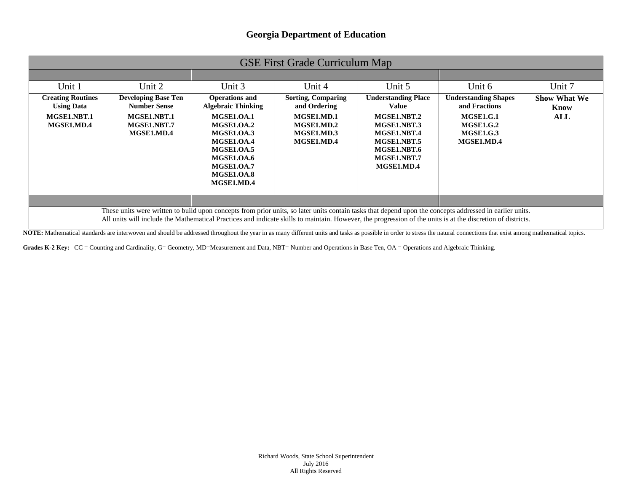| <b>GSE First Grade Curriculum Map</b>                                                                                                                                                                                                                                                                                   |                                                   |                                                                                                                                                               |                                                      |                                                                                                      |                                                                        |                             |
|-------------------------------------------------------------------------------------------------------------------------------------------------------------------------------------------------------------------------------------------------------------------------------------------------------------------------|---------------------------------------------------|---------------------------------------------------------------------------------------------------------------------------------------------------------------|------------------------------------------------------|------------------------------------------------------------------------------------------------------|------------------------------------------------------------------------|-----------------------------|
|                                                                                                                                                                                                                                                                                                                         |                                                   |                                                                                                                                                               |                                                      |                                                                                                      |                                                                        |                             |
| Unit 1                                                                                                                                                                                                                                                                                                                  | Unit 2                                            | Unit 3                                                                                                                                                        | Unit 4                                               | Unit 5                                                                                               | Unit 6                                                                 | Unit 7                      |
| <b>Creating Routines</b><br><b>Using Data</b>                                                                                                                                                                                                                                                                           | <b>Developing Base Ten</b><br><b>Number Sense</b> | <b>Operations and</b><br><b>Algebraic Thinking</b>                                                                                                            | <b>Sorting, Comparing</b><br>and Ordering            | <b>Understanding Place</b><br>Value                                                                  | <b>Understanding Shapes</b><br>and Fractions                           | <b>Show What We</b><br>Know |
| MGSE1.NBT.1<br>MGSE1.MD.4                                                                                                                                                                                                                                                                                               | MGSE1.NBT.1<br>MGSE1.NBT.7<br>MGSE1.MD.4          | <b>MGSE1.0A.1</b><br>MGSE1.OA.2<br><b>MGSE1.0A.3</b><br>MGSE1.OA.4<br><b>MGSE1.0A.5</b><br><b>MGSE1.OA.6</b><br>MGSE1.OA.7<br><b>MGSE1.0A.8</b><br>MGSE1.MD.4 | MGSE1.MD.1<br>MGSE1.MD.2<br>MGSE1.MD.3<br>MGSE1.MD.4 | MGSE1.NBT.2<br>MGSE1.NBT.3<br>MGSE1.NBT.4<br>MGSE1.NBT.5<br>MGSE1.NBT.6<br>MGSE1.NBT.7<br>MGSE1.MD.4 | <b>MGSE1.G.1</b><br><b>MGSE1.G.2</b><br><b>MGSE1.G.3</b><br>MGSE1.MD.4 | ALL                         |
|                                                                                                                                                                                                                                                                                                                         |                                                   |                                                                                                                                                               |                                                      |                                                                                                      |                                                                        |                             |
| These units were written to build upon concepts from prior units, so later units contain tasks that depend upon the concepts addressed in earlier units.<br>All units will include the Mathematical Practices and indicate skills to maintain. However, the progression of the units is at the discretion of districts. |                                                   |                                                                                                                                                               |                                                      |                                                                                                      |                                                                        |                             |

NOTE: Mathematical standards are interwoven and should be addressed throughout the year in as many different units and tasks as possible in order to stress the natural connections that exist among mathematical topics.

Grades K-2 Key: CC = Counting and Cardinality, G= Geometry, MD=Measurement and Data, NBT= Number and Operations in Base Ten, OA = Operations and Algebraic Thinking.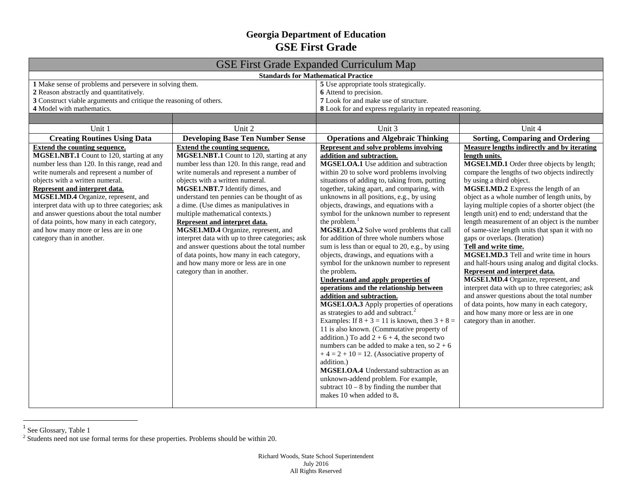## <span id="page-1-1"></span><span id="page-1-0"></span>**Georgia Department of Education GSE First Grade**

| <b>GSE First Grade Expanded Curriculum Map</b>                                                                                                                                                                                                                                                                                                                                                                                                                                                                 |                                                                                                                                                                                                                                                                                                                                                                                                                                                                                                                                                                                                                                                                                |                                                                                                                                                                                                                                                                                                                                                                                                                                                                                                                                                                                                                                                                                                                                                                                                                                                                                                                                                                                                                                                                                                                                                                                                                                                                                                                              |                                                                                                                                                                                                                                                                                                                                                                                                                                                                                                                                                                                                                                                                                                                                                                                                                                                                                                                                         |  |
|----------------------------------------------------------------------------------------------------------------------------------------------------------------------------------------------------------------------------------------------------------------------------------------------------------------------------------------------------------------------------------------------------------------------------------------------------------------------------------------------------------------|--------------------------------------------------------------------------------------------------------------------------------------------------------------------------------------------------------------------------------------------------------------------------------------------------------------------------------------------------------------------------------------------------------------------------------------------------------------------------------------------------------------------------------------------------------------------------------------------------------------------------------------------------------------------------------|------------------------------------------------------------------------------------------------------------------------------------------------------------------------------------------------------------------------------------------------------------------------------------------------------------------------------------------------------------------------------------------------------------------------------------------------------------------------------------------------------------------------------------------------------------------------------------------------------------------------------------------------------------------------------------------------------------------------------------------------------------------------------------------------------------------------------------------------------------------------------------------------------------------------------------------------------------------------------------------------------------------------------------------------------------------------------------------------------------------------------------------------------------------------------------------------------------------------------------------------------------------------------------------------------------------------------|-----------------------------------------------------------------------------------------------------------------------------------------------------------------------------------------------------------------------------------------------------------------------------------------------------------------------------------------------------------------------------------------------------------------------------------------------------------------------------------------------------------------------------------------------------------------------------------------------------------------------------------------------------------------------------------------------------------------------------------------------------------------------------------------------------------------------------------------------------------------------------------------------------------------------------------------|--|
| <b>Standards for Mathematical Practice</b>                                                                                                                                                                                                                                                                                                                                                                                                                                                                     |                                                                                                                                                                                                                                                                                                                                                                                                                                                                                                                                                                                                                                                                                |                                                                                                                                                                                                                                                                                                                                                                                                                                                                                                                                                                                                                                                                                                                                                                                                                                                                                                                                                                                                                                                                                                                                                                                                                                                                                                                              |                                                                                                                                                                                                                                                                                                                                                                                                                                                                                                                                                                                                                                                                                                                                                                                                                                                                                                                                         |  |
| 1 Make sense of problems and persevere in solving them.                                                                                                                                                                                                                                                                                                                                                                                                                                                        |                                                                                                                                                                                                                                                                                                                                                                                                                                                                                                                                                                                                                                                                                | 5 Use appropriate tools strategically.                                                                                                                                                                                                                                                                                                                                                                                                                                                                                                                                                                                                                                                                                                                                                                                                                                                                                                                                                                                                                                                                                                                                                                                                                                                                                       |                                                                                                                                                                                                                                                                                                                                                                                                                                                                                                                                                                                                                                                                                                                                                                                                                                                                                                                                         |  |
| 2 Reason abstractly and quantitatively.                                                                                                                                                                                                                                                                                                                                                                                                                                                                        |                                                                                                                                                                                                                                                                                                                                                                                                                                                                                                                                                                                                                                                                                | 6 Attend to precision.                                                                                                                                                                                                                                                                                                                                                                                                                                                                                                                                                                                                                                                                                                                                                                                                                                                                                                                                                                                                                                                                                                                                                                                                                                                                                                       |                                                                                                                                                                                                                                                                                                                                                                                                                                                                                                                                                                                                                                                                                                                                                                                                                                                                                                                                         |  |
| 3 Construct viable arguments and critique the reasoning of others.                                                                                                                                                                                                                                                                                                                                                                                                                                             |                                                                                                                                                                                                                                                                                                                                                                                                                                                                                                                                                                                                                                                                                | 7 Look for and make use of structure.                                                                                                                                                                                                                                                                                                                                                                                                                                                                                                                                                                                                                                                                                                                                                                                                                                                                                                                                                                                                                                                                                                                                                                                                                                                                                        |                                                                                                                                                                                                                                                                                                                                                                                                                                                                                                                                                                                                                                                                                                                                                                                                                                                                                                                                         |  |
| 4 Model with mathematics.                                                                                                                                                                                                                                                                                                                                                                                                                                                                                      |                                                                                                                                                                                                                                                                                                                                                                                                                                                                                                                                                                                                                                                                                | 8 Look for and express regularity in repeated reasoning.                                                                                                                                                                                                                                                                                                                                                                                                                                                                                                                                                                                                                                                                                                                                                                                                                                                                                                                                                                                                                                                                                                                                                                                                                                                                     |                                                                                                                                                                                                                                                                                                                                                                                                                                                                                                                                                                                                                                                                                                                                                                                                                                                                                                                                         |  |
|                                                                                                                                                                                                                                                                                                                                                                                                                                                                                                                |                                                                                                                                                                                                                                                                                                                                                                                                                                                                                                                                                                                                                                                                                |                                                                                                                                                                                                                                                                                                                                                                                                                                                                                                                                                                                                                                                                                                                                                                                                                                                                                                                                                                                                                                                                                                                                                                                                                                                                                                                              |                                                                                                                                                                                                                                                                                                                                                                                                                                                                                                                                                                                                                                                                                                                                                                                                                                                                                                                                         |  |
| Unit 1                                                                                                                                                                                                                                                                                                                                                                                                                                                                                                         | Unit 2                                                                                                                                                                                                                                                                                                                                                                                                                                                                                                                                                                                                                                                                         | Unit 3                                                                                                                                                                                                                                                                                                                                                                                                                                                                                                                                                                                                                                                                                                                                                                                                                                                                                                                                                                                                                                                                                                                                                                                                                                                                                                                       | Unit 4                                                                                                                                                                                                                                                                                                                                                                                                                                                                                                                                                                                                                                                                                                                                                                                                                                                                                                                                  |  |
| <b>Creating Routines Using Data</b>                                                                                                                                                                                                                                                                                                                                                                                                                                                                            | <b>Developing Base Ten Number Sense</b>                                                                                                                                                                                                                                                                                                                                                                                                                                                                                                                                                                                                                                        | <b>Operations and Algebraic Thinking</b>                                                                                                                                                                                                                                                                                                                                                                                                                                                                                                                                                                                                                                                                                                                                                                                                                                                                                                                                                                                                                                                                                                                                                                                                                                                                                     | <b>Sorting, Comparing and Ordering</b>                                                                                                                                                                                                                                                                                                                                                                                                                                                                                                                                                                                                                                                                                                                                                                                                                                                                                                  |  |
| <b>Extend the counting sequence.</b><br>MGSE1.NBT.1 Count to 120, starting at any<br>number less than 120. In this range, read and<br>write numerals and represent a number of<br>objects with a written numeral.<br>Represent and interpret data.<br>MGSE1.MD.4 Organize, represent, and<br>interpret data with up to three categories; ask<br>and answer questions about the total number<br>of data points, how many in each category,<br>and how many more or less are in one<br>category than in another. | <b>Extend the counting sequence.</b><br>MGSE1.NBT.1 Count to 120, starting at any<br>number less than 120. In this range, read and<br>write numerals and represent a number of<br>objects with a written numeral.<br>MGSE1.NBT.7 Identify dimes, and<br>understand ten pennies can be thought of as<br>a dime. (Use dimes as manipulatives in<br>multiple mathematical contexts.)<br>Represent and interpret data.<br>MGSE1.MD.4 Organize, represent, and<br>interpret data with up to three categories; ask<br>and answer questions about the total number<br>of data points, how many in each category,<br>and how many more or less are in one<br>category than in another. | Represent and solve problems involving<br>addition and subtraction.<br>MGSE1.OA.1 Use addition and subtraction<br>within 20 to solve word problems involving<br>situations of adding to, taking from, putting<br>together, taking apart, and comparing, with<br>unknowns in all positions, e.g., by using<br>objects, drawings, and equations with a<br>symbol for the unknown number to represent<br>the problem.<br>MGSE1.OA.2 Solve word problems that call<br>for addition of three whole numbers whose<br>sum is less than or equal to 20, e.g., by using<br>objects, drawings, and equations with a<br>symbol for the unknown number to represent<br>the problem.<br>Understand and apply properties of<br>operations and the relationship between<br>addition and subtraction.<br>MGSE1.OA.3 Apply properties of operations<br>as strategies to add and subtract. <sup>2</sup><br>Examples: If $8 + 3 = 11$ is known, then $3 + 8 =$<br>11 is also known. (Commutative property of<br>addition.) To add $2 + 6 + 4$ , the second two<br>numbers can be added to make a ten, so $2 + 6$<br>$+4 = 2 + 10 = 12$ . (Associative property of<br>addition.)<br>MGSE1.OA.4 Understand subtraction as an<br>unknown-addend problem. For example,<br>subtract $10 - 8$ by finding the number that<br>makes 10 when added to 8. | Measure lengths indirectly and by iterating<br>length units.<br>MGSE1.MD.1 Order three objects by length;<br>compare the lengths of two objects indirectly<br>by using a third object.<br>MGSE1.MD.2 Express the length of an<br>object as a whole number of length units, by<br>laying multiple copies of a shorter object (the<br>length unit) end to end; understand that the<br>length measurement of an object is the number<br>of same-size length units that span it with no<br>gaps or overlaps. (Iteration)<br>Tell and write time.<br>MGSE1.MD.3 Tell and write time in hours<br>and half-hours using analog and digital clocks.<br>Represent and interpret data.<br>MGSE1.MD.4 Organize, represent, and<br>interpret data with up to three categories; ask<br>and answer questions about the total number<br>of data points, how many in each category,<br>and how many more or less are in one<br>category than in another. |  |

<sup>1&</sup>lt;br><sup>1</sup> See Glossary, Table 1

 $2^{2}$  Students need not use formal terms for these properties. Problems should be within 20.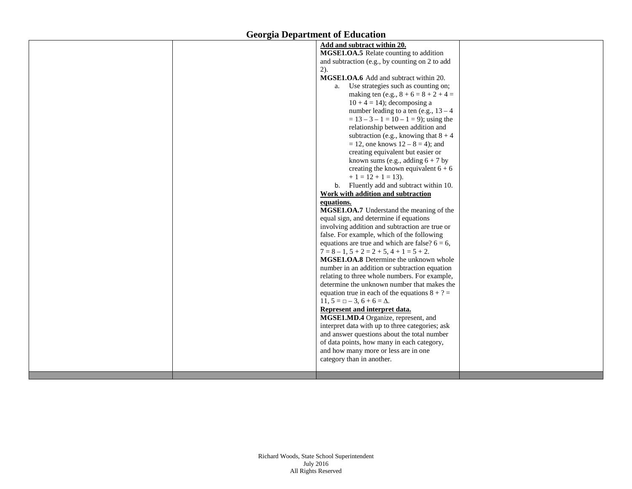|  | Add and subtract within 20.                       |  |
|--|---------------------------------------------------|--|
|  | MGSE1.OA.5 Relate counting to addition            |  |
|  | and subtraction (e.g., by counting on 2 to add    |  |
|  | 2).                                               |  |
|  | MGSE1.OA.6 Add and subtract within 20.            |  |
|  | Use strategies such as counting on;<br>a.         |  |
|  | making ten (e.g., $8 + 6 = 8 + 2 + 4 =$           |  |
|  | $10 + 4 = 14$ ; decomposing a                     |  |
|  | number leading to a ten (e.g., $13 - 4$ )         |  |
|  | $= 13 - 3 - 1 = 10 - 1 = 9$ ; using the           |  |
|  | relationship between addition and                 |  |
|  | subtraction (e.g., knowing that $8 + 4$ )         |  |
|  | $= 12$ , one knows $12 - 8 = 4$ ; and             |  |
|  | creating equivalent but easier or                 |  |
|  | known sums (e.g., adding $6 + 7$ by               |  |
|  | creating the known equivalent $6 + 6$             |  |
|  | $+1 = 12 + 1 = 13$ .                              |  |
|  | b. Fluently add and subtract within 10.           |  |
|  | Work with addition and subtraction                |  |
|  | equations.                                        |  |
|  | MGSE1.OA.7 Understand the meaning of the          |  |
|  | equal sign, and determine if equations            |  |
|  | involving addition and subtraction are true or    |  |
|  | false. For example, which of the following        |  |
|  | equations are true and which are false? $6 = 6$ , |  |
|  | $7 = 8 - 1$ , $5 + 2 = 2 + 5$ , $4 + 1 = 5 + 2$ . |  |
|  | MGSE1.OA.8 Determine the unknown whole            |  |
|  | number in an addition or subtraction equation     |  |
|  | relating to three whole numbers. For example,     |  |
|  | determine the unknown number that makes the       |  |
|  | equation true in each of the equations $8 + ? =$  |  |
|  | 11, $5 = \square - 3$ , $6 + 6 = \Delta$ .        |  |
|  | Represent and interpret data.                     |  |
|  | MGSE1.MD.4 Organize, represent, and               |  |
|  | interpret data with up to three categories; ask   |  |
|  | and answer questions about the total number       |  |
|  | of data points, how many in each category,        |  |
|  | and how many more or less are in one              |  |
|  | category than in another.                         |  |
|  |                                                   |  |
|  |                                                   |  |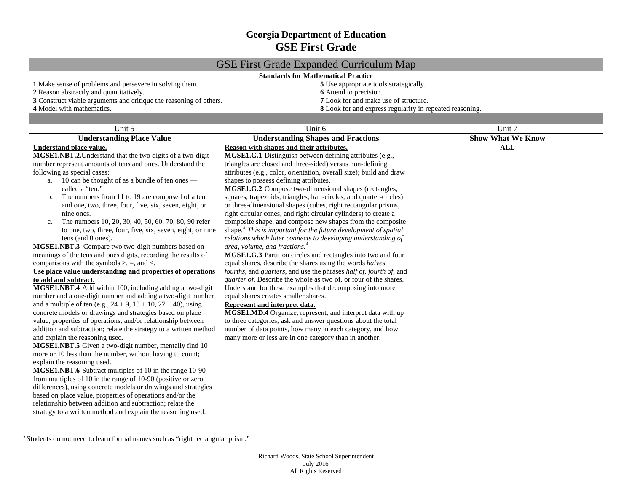## <span id="page-3-1"></span><span id="page-3-0"></span>**Georgia Department of Education GSE First Grade**

| <b>GSE First Grade Expanded Curriculum Map</b>                                                                                                                                                                                                                                                                                                                                                                                                                                                                                                                                                                                                                                                                                                                                                                                                                                                                                                                                                                                                                                                                                                                                                                                                                                                                                                                                                                                                                                                                                                                                                                                                                                                                                                                                                            |                                                                                                                                                                                                                                                                                                                                                                                                                                                                                                                                                                                                                                                                                                                                                                                                                                                                                                                                                                                                                                                                                                                                                                                                                                                                                                                                                                                                                                                                                    |                          |  |  |
|-----------------------------------------------------------------------------------------------------------------------------------------------------------------------------------------------------------------------------------------------------------------------------------------------------------------------------------------------------------------------------------------------------------------------------------------------------------------------------------------------------------------------------------------------------------------------------------------------------------------------------------------------------------------------------------------------------------------------------------------------------------------------------------------------------------------------------------------------------------------------------------------------------------------------------------------------------------------------------------------------------------------------------------------------------------------------------------------------------------------------------------------------------------------------------------------------------------------------------------------------------------------------------------------------------------------------------------------------------------------------------------------------------------------------------------------------------------------------------------------------------------------------------------------------------------------------------------------------------------------------------------------------------------------------------------------------------------------------------------------------------------------------------------------------------------|------------------------------------------------------------------------------------------------------------------------------------------------------------------------------------------------------------------------------------------------------------------------------------------------------------------------------------------------------------------------------------------------------------------------------------------------------------------------------------------------------------------------------------------------------------------------------------------------------------------------------------------------------------------------------------------------------------------------------------------------------------------------------------------------------------------------------------------------------------------------------------------------------------------------------------------------------------------------------------------------------------------------------------------------------------------------------------------------------------------------------------------------------------------------------------------------------------------------------------------------------------------------------------------------------------------------------------------------------------------------------------------------------------------------------------------------------------------------------------|--------------------------|--|--|
| <b>Standards for Mathematical Practice</b>                                                                                                                                                                                                                                                                                                                                                                                                                                                                                                                                                                                                                                                                                                                                                                                                                                                                                                                                                                                                                                                                                                                                                                                                                                                                                                                                                                                                                                                                                                                                                                                                                                                                                                                                                                |                                                                                                                                                                                                                                                                                                                                                                                                                                                                                                                                                                                                                                                                                                                                                                                                                                                                                                                                                                                                                                                                                                                                                                                                                                                                                                                                                                                                                                                                                    |                          |  |  |
| 1 Make sense of problems and persevere in solving them.<br>2 Reason abstractly and quantitatively.<br>3 Construct viable arguments and critique the reasoning of others.<br>4 Model with mathematics.                                                                                                                                                                                                                                                                                                                                                                                                                                                                                                                                                                                                                                                                                                                                                                                                                                                                                                                                                                                                                                                                                                                                                                                                                                                                                                                                                                                                                                                                                                                                                                                                     | 5 Use appropriate tools strategically.<br>6 Attend to precision.<br>7 Look for and make use of structure.<br>8 Look for and express regularity in repeated reasoning.                                                                                                                                                                                                                                                                                                                                                                                                                                                                                                                                                                                                                                                                                                                                                                                                                                                                                                                                                                                                                                                                                                                                                                                                                                                                                                              |                          |  |  |
|                                                                                                                                                                                                                                                                                                                                                                                                                                                                                                                                                                                                                                                                                                                                                                                                                                                                                                                                                                                                                                                                                                                                                                                                                                                                                                                                                                                                                                                                                                                                                                                                                                                                                                                                                                                                           |                                                                                                                                                                                                                                                                                                                                                                                                                                                                                                                                                                                                                                                                                                                                                                                                                                                                                                                                                                                                                                                                                                                                                                                                                                                                                                                                                                                                                                                                                    |                          |  |  |
| Unit 5                                                                                                                                                                                                                                                                                                                                                                                                                                                                                                                                                                                                                                                                                                                                                                                                                                                                                                                                                                                                                                                                                                                                                                                                                                                                                                                                                                                                                                                                                                                                                                                                                                                                                                                                                                                                    | Unit 6                                                                                                                                                                                                                                                                                                                                                                                                                                                                                                                                                                                                                                                                                                                                                                                                                                                                                                                                                                                                                                                                                                                                                                                                                                                                                                                                                                                                                                                                             | Unit 7                   |  |  |
| <b>Understanding Place Value</b>                                                                                                                                                                                                                                                                                                                                                                                                                                                                                                                                                                                                                                                                                                                                                                                                                                                                                                                                                                                                                                                                                                                                                                                                                                                                                                                                                                                                                                                                                                                                                                                                                                                                                                                                                                          | <b>Understanding Shapes and Fractions</b>                                                                                                                                                                                                                                                                                                                                                                                                                                                                                                                                                                                                                                                                                                                                                                                                                                                                                                                                                                                                                                                                                                                                                                                                                                                                                                                                                                                                                                          | <b>Show What We Know</b> |  |  |
| Understand place value.<br>MGSE1.NBT.2. Understand that the two digits of a two-digit<br>number represent amounts of tens and ones. Understand the<br>following as special cases:<br>a. 10 can be thought of as a bundle of ten ones —<br>called a "ten."<br>The numbers from 11 to 19 are composed of a ten<br>b.<br>and one, two, three, four, five, six, seven, eight, or<br>nine ones.<br>The numbers 10, 20, 30, 40, 50, 60, 70, 80, 90 refer<br>c.<br>to one, two, three, four, five, six, seven, eight, or nine<br>tens (and 0 ones).<br>MGSE1.NBT.3 Compare two two-digit numbers based on<br>meanings of the tens and ones digits, recording the results of<br>comparisons with the symbols $>$ , $=$ , and $\lt$ .<br>Use place value understanding and properties of operations<br>to add and subtract.<br>MGSE1.NBT.4 Add within 100, including adding a two-digit<br>number and a one-digit number and adding a two-digit number<br>and a multiple of ten (e.g., $24 + 9$ , $13 + 10$ , $27 + 40$ ), using<br>concrete models or drawings and strategies based on place<br>value, properties of operations, and/or relationship between<br>addition and subtraction; relate the strategy to a written method<br>and explain the reasoning used.<br>MGSE1.NBT.5 Given a two-digit number, mentally find 10<br>more or 10 less than the number, without having to count;<br>explain the reasoning used.<br>MGSE1.NBT.6 Subtract multiples of 10 in the range 10-90<br>from multiples of 10 in the range of 10-90 (positive or zero<br>differences), using concrete models or drawings and strategies<br>based on place value, properties of operations and/or the<br>relationship between addition and subtraction; relate the<br>strategy to a written method and explain the reasoning used. | Reason with shapes and their attributes.<br>MGSE1.G.1 Distinguish between defining attributes (e.g.,<br>triangles are closed and three-sided) versus non-defining<br>attributes (e.g., color, orientation, overall size); build and draw<br>shapes to possess defining attributes.<br>MGSE1.G.2 Compose two-dimensional shapes (rectangles,<br>squares, trapezoids, triangles, half-circles, and quarter-circles)<br>or three-dimensional shapes (cubes, right rectangular prisms,<br>right circular cones, and right circular cylinders) to create a<br>composite shape, and compose new shapes from the composite<br>shape. <sup>3</sup> This is important for the future development of spatial<br>relations which later connects to developing understanding of<br>area, volume, and fractions. <sup>4</sup><br>MGSE1.G.3 Partition circles and rectangles into two and four<br>equal shares, describe the shares using the words halves,<br>fourths, and quarters, and use the phrases half of, fourth of, and<br>quarter of. Describe the whole as two of, or four of the shares.<br>Understand for these examples that decomposing into more<br>equal shares creates smaller shares.<br>Represent and interpret data.<br>MGSE1.MD.4 Organize, represent, and interpret data with up<br>to three categories; ask and answer questions about the total<br>number of data points, how many in each category, and how<br>many more or less are in one category than in another. | <b>ALL</b>               |  |  |

<sup>&</sup>lt;sup>3</sup> Students do not need to learn formal names such as "right rectangular prism."

<u>.</u>